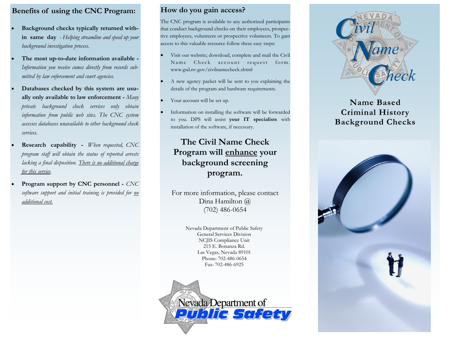### **Benefits of using the CNC Program:**

- **Background checks typically returned within same day** *- Helping streamline and speed up your background investigation process.*
- **The most up-to-date information available -** *Information you receive comes directly from records submitted by law enforcement and court agencies.*
- **Databases checked by this system are usually only available to law enforcement -** *Many private background check services only obtain information from public web sites. The CNC system accesses databases unavailable to other background check services.*
- **Research capability -** *When requested, CNC program staff will obtain the status of reported arrests lacking a final disposition. There is no additional charge for this service.*
- **Program support by CNC personnel -** *CNC software support and initial training is provided for no additional cost.*

#### **How do you gain access?**

The CNC program is available to any authorized participants that conduct background checks on their employees, prospective employees, volunteers or prospective volunteers. To gain access to this valuable resource follow these easy steps:

- Visit our website; download, complete and mail the Civil Name Check account request form. www.gsd.nv.gov/civilnamecheck.shtml
- A new agency packet will be sent to you explaining the details of the program and hardware requirements.
- Your account will be set up.
- Information on installing the software will be forwarded to you. DPS will assist **your IT specialists** with installation of the software, if necessary.

# **The Civil Name Check Program will enhance your background screening program.**

For more information, please contact Dina Hamilton @ (702) 486-0654

> Nevada Department of Public Safety General Services Division NCJIS Compliance Unit 215 E. Bonanza Rd. Las Vegas, Nevada 89101 Phone: 702-486-0654 Fax: 702-486-6925





## **Name Based Criminal History Background Checks**